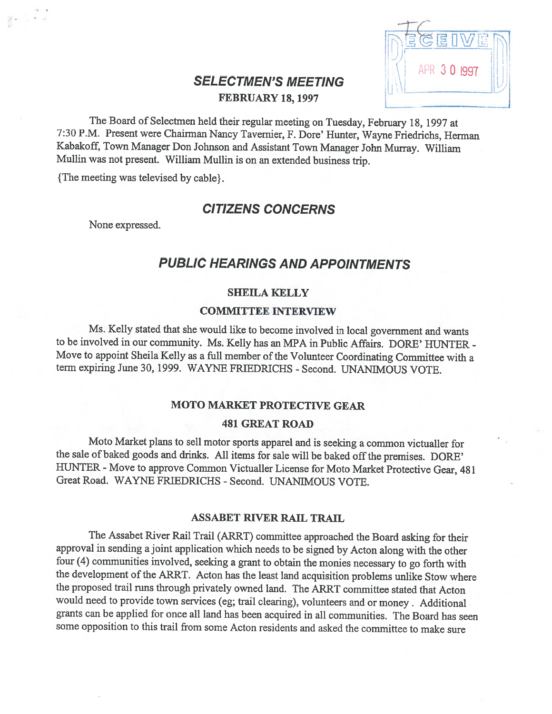# FEBRUARY 18, 1997



The Board of Selectmen held their regular meeting on Tuesday, February 18, <sup>1997</sup> at 7:30 P.M. Present were Chairman Nancy Tavernier, F. Dore' Hunter, Wayne Friedrichs, Herman Kabakoff, Town Manager Don Johnson and Assistant Town Manager John Murray. William Mullin was not present. William Mullin is on an extended business trip.

{The meeting was televised by cable}.

## CITIZENS CONCERNS

None expressed.

# PUBLIC HEARINGS AND APPOINTMENTS

#### SHEILA KELLY

#### COMMITTEE INTERVIEW

Ms. Kelly stated that she would like to become involved in local government and wants to be involved in our community. Ms. Kelly has an MPA in Public Affairs. DORE' HUNTER -Move to appoint Sheila Kelly as a full member of the Volunteer Coordinating Committee with a term expiring June 30, 1999. WAYNE FRIEDRICHS - Second. UNAN[MOUS VOTE.

#### MOTO MARKET PROTECTWE GEAR

#### 481 GREAT ROAD

Moto Market <sup>p</sup>lans to sell motor sports apparel and is seeking <sup>a</sup> common victualler for the sale of baked goods and drinks. All items for sale will be baked off the premises. DORE' HUNTER - Move to approve Common Victualler License for Moto Market Protective Gear, 481 Great Road. WAYNE FRIEDRICHS - Second. UNANIMOUS VOTE.

#### ASSABET RIVER RAIL TRAIL

The Assabet River Rail Trail (ARRT) committee approached the Board asking for their approval in sending <sup>a</sup> joint application which needs to be signed by Acton along with the other four (4) communities involved, seeking <sup>a</sup> grant to obtain the monies necessary to go forth with the development of the ARRT. Acton has the least land acquisition problems unlike Stow where the proposed trail runs through privately owned land. The ARRT committee stated that Acton would need to provide town services (eg; trail clearing), volunteers and or money. Additional grants can be applied for once all land has been acquired in all communities. The Board has seen some opposition to this trail from some Acton residents and asked the committee to make sure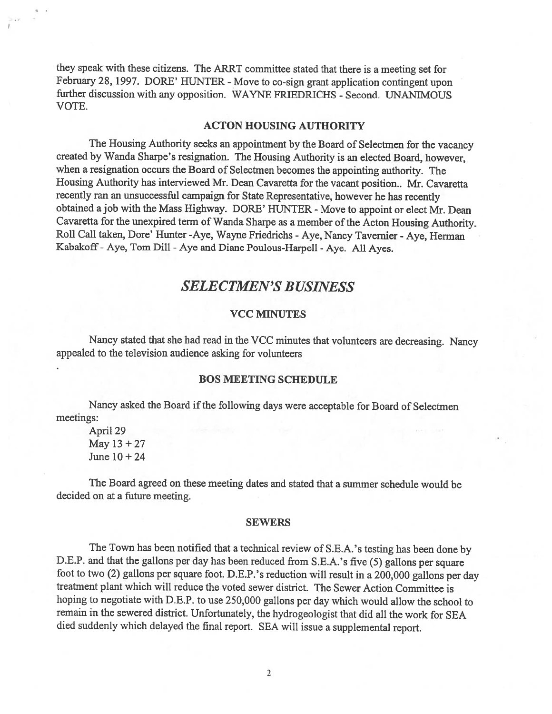they speak with these citizens. The ARRT committee stated that there is <sup>a</sup> meeting set for February 28, 1997. DORE' HUNTER - Move to co-sign grant application contingent upon further discussion with any opposition. WAYNE FRIEDRICHS - Second. UNANIMOUS VOTE.

#### ACTON HOUSING AUTHORITY

The Housing Authority seeks an appointment by the Board of Selectmen for the vacancy created by Wanda Sharpe's resignation. The Housing Authority is an elected Board, however, when <sup>a</sup> resignation occurs the Board of Selectmen becomes the appointing authority. The Housing Authority has interviewed Mr. Dean Cavaretta for the vacant position.. Mr. Cavaretta recently ran an unsuccessful campaign for State Representative, however he has recently obtained a job with the Mass Highway. DORE' HUNTER - Move to appoint or elect Mr. Dean Cavaretta for the unexpired term of Wanda Sharpe as a member of the Acton Housing Authority. Roll Call taken, Dore' Hunter -Aye, Wayne Friedrichs - Aye, Nancy Tavernier - Aye, Herman Kabakoff -Aye, Tom Dill -Aye and Diane Poulous-Harpell -Aye. All Ayes.

## SELECTMEN'S BUSINESS

#### VCC MINUTES

Nancy stated that she had read in the VCC minutes that volunteers are decreasing. Nancy appealed to the television audience asking for volunteers

#### BOS MEETING SCHEDULE

Nancy asked the Board if the following days were acceptable for Board of Selectmen meetings:

April 29 May 13+27 June 10 +24

a

The Board agreed on these meeting dates and stated that <sup>a</sup> summer schedule would be decided on at <sup>a</sup> future meeting.

#### SEWERS

The Town has been notified that <sup>a</sup> technical review of S.E.A.'s testing has been done by D.E.P. and that the gallons per day has been reduced from S.E.A.'s five (5) gallons per square foot to two (2) gallons per square foot. D.E.P.'s reduction will result in <sup>a</sup> 200,000 gallons per day treatment plant which will reduce the voted sewer district. The Sewer Action Committee is hoping to negotiate with D.E.P. to use 250,000 gallons per day which would allow the school to remain in the sewered district. Unfortunately, the hydrogeologist that did all the work for SEA died suddenly which delayed the final report. SEA will issue <sup>a</sup> supplemental report.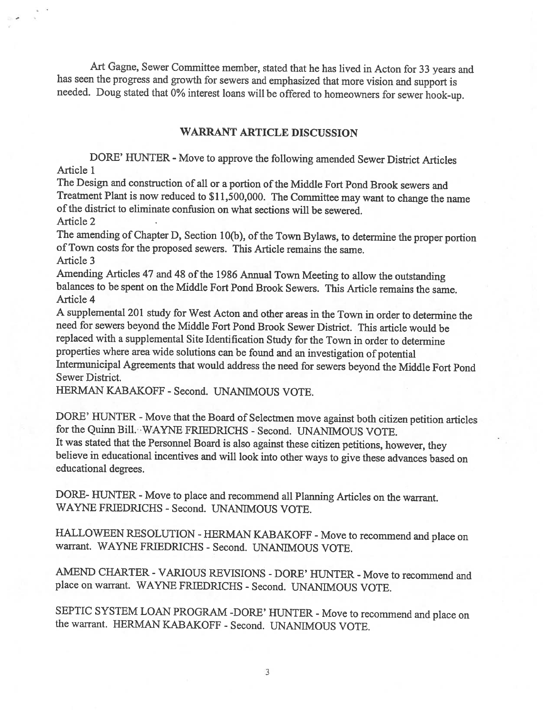Art Gagne, Sewer Committee member, stated that he has lived in Acton for <sup>33</sup> years and has seen the progress and growth for sewers and emphasized that more vision and support is needed. Doug stated that 0% interest loans will be offered to homeowners for sewer hook-up.

#### WARRANT ARTICLE DISCUSSION

DORE' HUNTER - Move to approve the following amended Sewer District Articles Article 1

The Design and construction of all or a portion of the Middle Fort Pond Brook sewers and Treatment Plant is now reduced to \$11,500,000. The Committee may want to change the name of the district to eliminate confusion on what sections will be sewered. Article 2

The amending of Chapter D, Section 10(b), of the Town Bylaws, to determine the proper portion ofTown costs for the proposed sewers. This Article remains the same. Article 3

Amending Articles 47 and 48 of the 1986 Annual Town Meeting to allow the outstanding balances to be spent on the Middle Fort Pond Brook Sewers. This Article remains the same. Article 4

<sup>A</sup> supplemental <sup>201</sup> study for West Acton and other areas in the Town in order to determine the need for sewers beyond the Middle Fort Pond Brook Sewer District. This article would be replaced with <sup>a</sup> supplemental Site Identification Study for the Town in order to determine properties where area wide solutions can be found and an investigation of potential Intermunicipal Agreements that would address the need for sewers beyond the Middle Fort Pond Sewer District.

HERMAN KABAKOFF - Second. UNANIMOUS VOTE.

DORE' HUNTER - Move that the Board of Selectmen move against both citizen petition articles for the Quinn Bill. WAYNE FRIEDRICHS - Second. UNANIMOUS VOTE. It was stated that the Personnel Board is also against these citizen petitions, however, they believe in educational incentives and will look into other ways to <sup>g</sup>ive these advances based on educational degrees.

DORE- HUNTER - Move to place and recommend all Planning Articles on the warrant. WAYNE FRIEDRICHS -Second. UNANIMOUS VOTE.

HALLOWEEN RESOLUTION - HERMAN KABAKOFF - Move to recommend and place on warrant. WAYNE FRIEDRICHS - Second. UNANIMOUS VOTE.

AMEND CHARTER - VARIOUS REVISIONS - DORE' HUNTER - Move to recommend and place on warrant. WAYNE FRIEDRICHS - Second. UNANIMOUS VOTE.

SEPTIC SYSTEM LOAN PROGRAM -DORE' HUNTER - Move to recommend and place on the warrant. HERMAN KABAKOFF - Second. UNANIMOUS VOTE.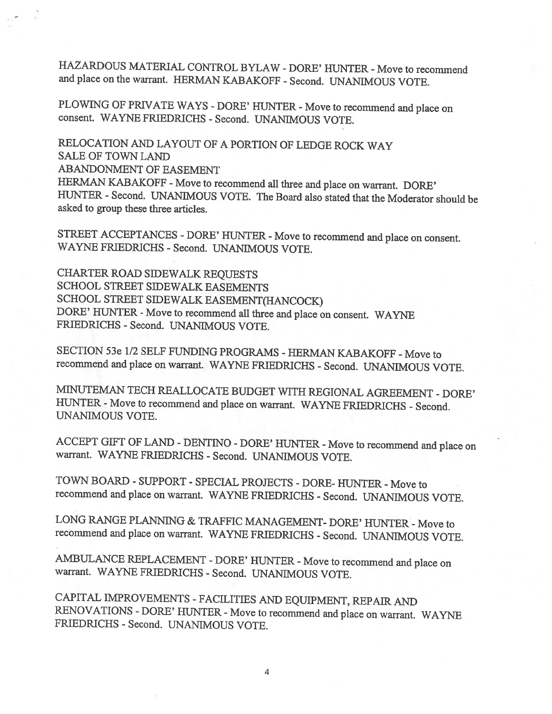HAZARDOUS MATERIAL CONTROL BYLAW - DORE' HUNTER - Move to recommend and place on the warrant. HERMAN KABAKOFF - Second. UNANIMOUS VOTE.

PLOWING OF PRIVATE WAYS - DORE' HUNTER - Move to recommend and place on consent. WAYNE FRIEDRICHS - Second. UNANIMOUS VOTE.

RELOCATION AND LAYOUT OF <sup>A</sup> PORTION OF LEDGE ROCK WAY SALE OF TOWN LAND ABANDONMENT OF EASEMENT HERMAN KABAKOFF - Move to recommend all three and place on warrant. DORE' HUNTER - Second. UNANIMOUS VOTE. The Board also stated that the Moderator should be asked to group these three articles.

STREET ACCEPTANCES - DORE' HUNTER - Move to recommend and place on consent.<br>WAYNE FRIEDRICHS - Second. UNANIMOUS VOTE.

CHARTER ROAD SIDEWALK REQUESTS SCHOOL STREET SIDEWALK EASEMENTS SCHOOL STREET SIDEWALK EASEMENT(HANCOCK) DORE' HUNTER - Move to recommend all three and place on consent. WAYNE FRIEDRICHS - Second. UNANIMOUS VOTE.

SECTION 53e 1/2 SELF FUNDING PROGRAMS - HERMAN KABAKOFF - Move to recommend and <sup>p</sup>lace on warrant. WAYNE FRTEDRICHS - Second. UNANIMOUS VOTE.

MINUTEMAN TECH REALLOCATE BUDGET WITH REGIONAL AGREEMENT -DORE' HUNTER - Move to recommend and place on warrant. WAYNE FRIEDRICHS - Second. UNANIMOUS VOTE.

ACCEPT GIFT OF LAND - DENTINO - DORE' HUNTER - Move to recommend and place on warrant. WAYNE FRIEDRICHS - Second. UNANIMOUS VOTE.

TOWN BOARD - SUPPORT - SPECIAL PROJECTS - DORE- HUNTER - Move to recommend and place on warrant. WAYNE FRIEDRICHS - Second. UNANIMOUS VOTE.

LONG RANGE PLANNING & TRAFFIC MANAGEMENT- DORE' HUNTER - Move to recommend and <sup>p</sup>lace on warrant. WAYNE FRIEDRICHS - Second. UNANIMOUS VOTE.

AMBULANCE REPLACEMENT - DORE' HUNTER - Move to recommend and place on warrant. WAYNE FRIEDRICHS - Second. UNANIMOUS VOTE.

CAPITAL IMPROVEMENTS -FACILITIES AND EQUIPMENT, REPAIR AND RENOVATIONS - DORE' HUNTER - Move to recommend and place on warrant. WAYNE FRIEDRICHS - Second. UNANIMOUS VOTE.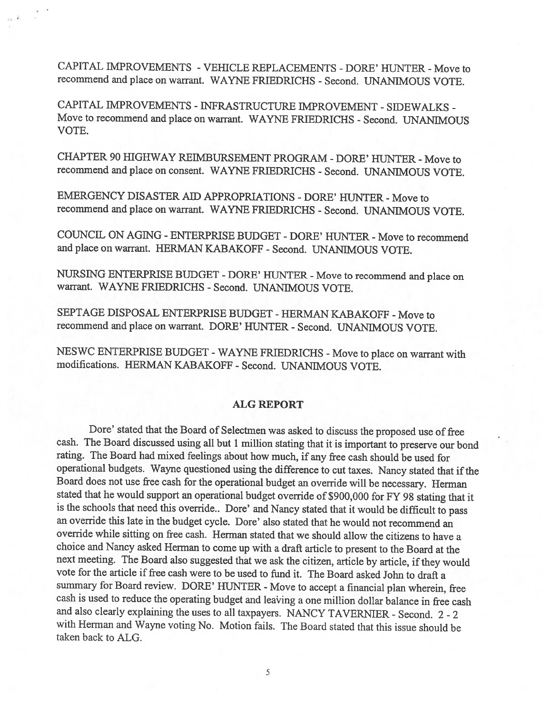CAPITAL IMPROVEMENTS - VEHICLE REPLACEMENTS - DORE' HUNTER - Move to recommend and place on warrant. WAYNE FRIEDRICHS - Second. UNANIMOUS VOTE.

CAPITAL IMPROVEMENTS - INFRASTRUCTURE IMPROVEMENT - SIDEWALKS - Move to recommend and <sup>p</sup>lace on warrant. WAYNE FRTEDRICHS - Second. UNANIMOUS VOTE.

CHAPTER 90 HIGHWAY REIMBURSEMENT PROGRAM - DORE' HUNTER - Move to recommend and <sup>p</sup>lace on consent. WAYNE FRTEDRICHS - Second. UNANIMOUS VOTE.

EMERGENCY DISASTER AID APPROPRIATIONS - DORE' HUNTER - Move to recommend and <sup>p</sup>lace on warrant. WAYNE FRIEDRICHS - Second. UNANIMOUS VOTE.

COUNCIL ON AGING - ENTERPRISE BUDGET - DORE' HUNTER - Move to recommend and place on warrant. HERMAN KABAKOFF - Second. UNANIMOUS VOTE.

NURSING ENTERPRISE BUDGET - DORE' HUNTER - Move to recommend and place on warrant. WAYNE FRIEDRICHS - Second. UNANIMOUS VOTE.

SEPTAGE DISPOSAL ENTERPRISE BUDGET - HERMAN KABAKOFF - Move to recommend and place on warrant. DORE' HUNTER - Second. UNANIMOUS VOTE.

NESWC ENTERPRISE BUDGET - WAYNE FRIEDRICHS - Move to place on warrant with modifications. HERMAN KABAKOFF - Second. UNANIMOUS VOTE.

#### ALG REPORT

Dore' stated that the Board of Selectmen was asked to discuss the proposed use of free cash. The Board discussed using all but <sup>1</sup> million stating that it is important to preserve our bond rating. The Board had mixed feelings about how much, if any free cash should be used for operational budgets. Wayne questioned using the difference to cut taxes. Nancy stated that if the Board does not use free cash for the operational budget an override will be necessary. Herman stated that he would support an operational budget override of \$900,000 for FY <sup>98</sup> stating that it is the schools that need this override.. Dore' and Nancy stated that it would be difficult to pass an override this late in the budget cycle. Dore' also stated that he would not recommend an override while sitting on free cash. Herman stated that we should allow the citizens to have <sup>a</sup> choice and Nancy asked Herman to come up with <sup>a</sup> draft article to present to the Board at the next meeting. The Board also suggested that we ask the citizen, article by article, if they would vote for the article if free cash were to be used to fund it. The Board asked John to draft <sup>a</sup> summary for Board review. DORE' HUNTER - Move to accept a financial plan wherein, free cash is used to reduce the operating budget and lea'ing <sup>a</sup> one million dollar balance in free cash and also clearly explaining the uses to all taxpayers. NANCY TAVERNIER - Second. 2 - 2 with Herman and Wayne voting No. Motion fails. The Board stated that this issue should be taken back to ALG.